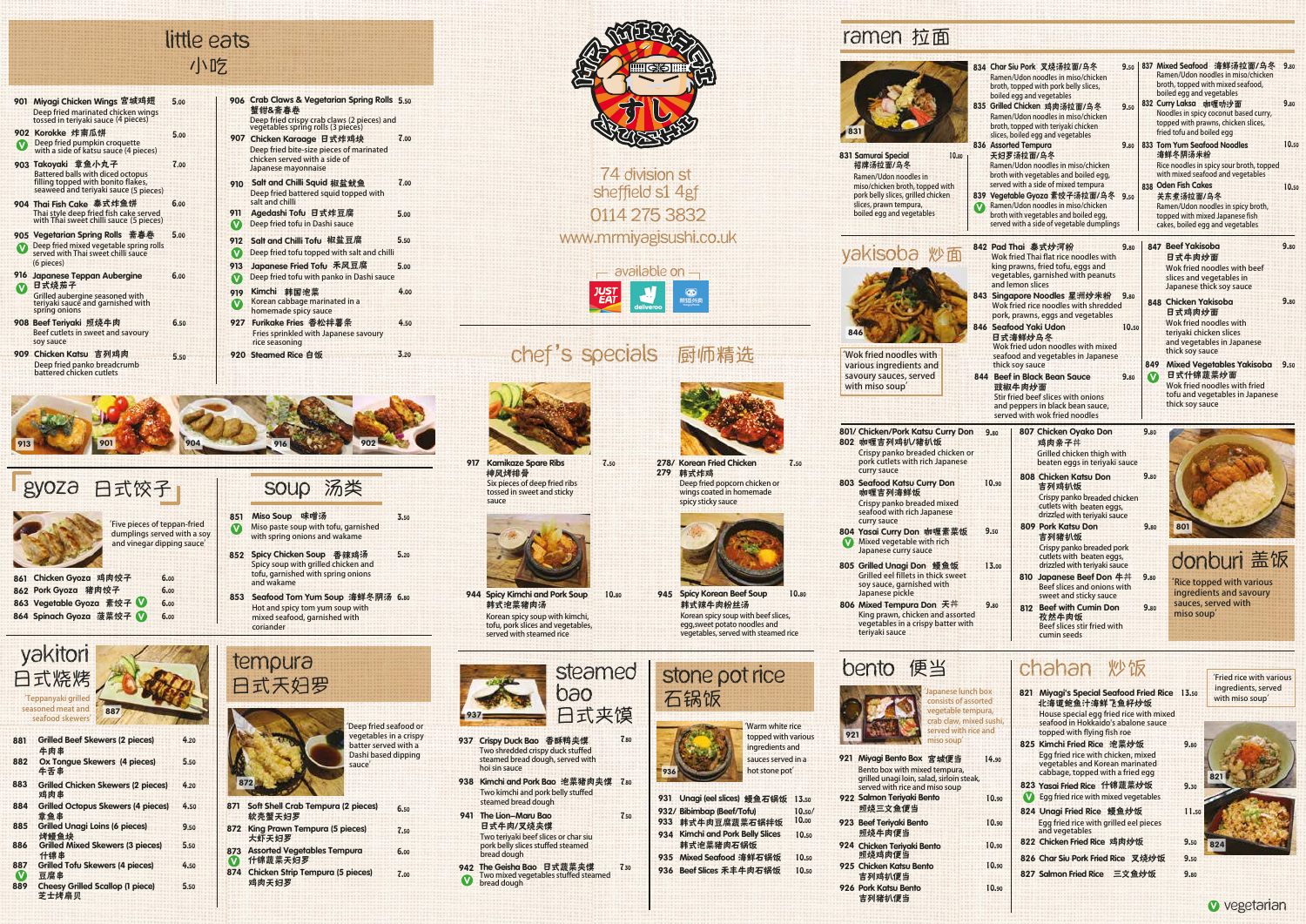- SOUP 汤类 851 Miso Soup 味噌汤 **'Five pieces of teppan-fried dumplings served with a soy**   $\boldsymbol{\Omega}$ 
	- **Miso paste soup with tofu, garnished with spring onions and wakame** Spicy Chicken Soup 香辣鸡汤 852 **Spicy soup with grilled chicken and**
	- **tofu, garnished with spring onions and wakame** 853 Seafood Tom Yum Soup 海鲜冬阴汤 6.80 **Hot and spicy tom yum soup with**
	- **mixed seafood, garnished with coriander**

- 软壳蟹天妇罗 871 Soft Shell Crab Tempura (2 pieces) 6.50
- 大虾天妇罗 872 King Prawn Tempura (5 pieces) 7.50 6.00
- 什锦蔬菜天妇罗 873 Assorted Vegetables Tempura V
- 鸡肉天妇罗 874 Chicken Strip Tempura (5 pieces)



| gyoza | 日式饺子 |
|-------|------|
|       |      |





## 小吃 little eats



- 7.00 蟹钳&斋春卷 906 Crab Claws & Vegetarian Spring Rolls 5.50 **Deep fried crispy crab claws (2 pieces) and vegetables spring rolls (3 pieces)** 907 Chicken Karaage 日式炸鸡块 7.00 **Deep fried bite-size pieces of marinated chicken served with a side of Japanese mayonnaise**
	- 910 Salt and Chilli Squid 椒盐鱿鱼 **Deep fried battered squid topped with salt and chilli**
	- 911 Agedashi Tofu 日式炸豆腐 5.00 **Deep fried tofu in Dashi sauce**  $\bullet$
	- 912 Salt and Chilli Tofu 椒盐豆腐 5.50
	- **Deep fried tofu topped with salt and chilli**
	- 913 Japanese Fried Tofu 禾风豆腐 5.00
	-

4.00

- 901 Miyagi Chicken Wings 宫城鸡翅 5.00 **Deep fried marinated chicken wings tossed in teriyaki sauce (4 pieces)**
- 902 Korokke 炸南瓜饼 5.00 **Deep fried pumpkin croquette**<br>with a side of katsu sauce (4 pieces)
- 903 Takoyaki 章鱼小丸子 7.00 **Battered balls with diced octopus filling topped with bonito flakes, seaweed and teriyaki sauce (5 pieces)**
- 904 Thai Fish Cake 泰式炸鱼饼 **Thai style deep fried fish cake served with Thai sweet chilli sauce (5 pieces)**
- 905 Vegetarian Spring Rolls 斋春卷 **Deep fried mixed vegetable spring rolls**<br>served with Thai sweet chilli sauce 5.00 **(6 pieces)**
- 日式烧茄子 916 Japanese Teppan Aubergine **Grilled aubergine seasoned with**  916 **Japanese Teppan Aubergine** 6.00 **Conservation Conservation Dashi sauce**
- 908 Beef Teriyaki 照烧牛肉 **teriyaki sauce and garnished with spring onions**
- **Beef cutlets in sweet and savoury soy sauce**
- 909 Chicken Katsu 吉列鸡肉 5.50 **Deep fried panko breadcrumb battered chicken cutlets**

6.50

803 Seafood Katsu Curry Don 咖喱吉列海鲜饭 **Crispy panko breaded mixed seafood with rich Japanese curry sauce**

804 Yasai Curry Don 咖喱素菜饭 **Mixed vegetable with rich Japanese curry sauce**

805 Grilled Unagi Don 鳗鱼饭 **Grilled eel fillets in thick sweet soy sauce, garnished with Japanese pickle**

6.00

806 Mixed Tempura Don 天井 **King prawn, chicken and assorted vegetables in a crispy batter with teriyaki sauce**

# bento 便当

6.00

**Crispy panko breaded chicken or pork cutlets with rich Japanese curry sauce**

韩式泡菜猪肉汤 944 Spicy Kimchi and Pork Soup 10.80 945 **Korean spicy soup with kimchi, tofu, pork slices and vegetables, served with steamed rice** 10.80 945 Spicy Korean Beef Soup 10.80

#### 厨师精选 chef's specials

- 937 Crispy Duck Bao 香酥鸭夹馍 7.80 **Two shredded crispy duck stuffed steamed bread dough, served with hoi sin sauce**
- 938 Kimchi and Pork Bao 泡菜猪肉夹馍 7.80 **Two kimchi and pork belly stuffed steamed bread dough**

**Egg fried rice with grilled eel pieces and vegetables**

826 Char Siu Pork Fried Rice 叉烧炒饭 9.50

**Egg fried rice with chicken, mixed vegetables and Korean marinated cabbage, topped with a fried egg**

Unagi Fried Rice 鳗鱼炒饭 824

**'Teppanyaki grilled seasoned meat and seafood skewers'** 887



**vegetable tempura crab claw, mixed s served with rice and miso soup'**

- 933 韩式牛肉豆腐蔬菜石锅拌饭 931 Unagi (eel slices) 鳗鱼石锅饭 13.50 Bibimbap (Beef/Tofu) 932/ 10.00 10.50/
- 韩式泡菜猪肉石锅饭 934 Kimchi and Pork Belly Slices 10.50
- 935 Mixed Seafood 海鲜石锅饭 7.30 936 Beef Slices 禾丰牛肉石锅饭 10.50 10.50
- **sauces served in a hot stone pot' topped with various ingredients and**



|                                                                                                              |                                   | 834 Char Siu Pork 叉烧汤拉面/乌冬<br>Ramen/Udon noodles in miso/chicken<br>broth, topped with pork belly slices,                                                                                                                                 | 9.50          |                              | 837 Mixed Seafood 海鲜汤拉面/乌冬<br>Ramen/Udon noodles in miso/chicken<br>broth, topped with mixed seafood,<br>boiled egg and vegetables                                                 | 9.80  |
|--------------------------------------------------------------------------------------------------------------|-----------------------------------|-------------------------------------------------------------------------------------------------------------------------------------------------------------------------------------------------------------------------------------------|---------------|------------------------------|------------------------------------------------------------------------------------------------------------------------------------------------------------------------------------|-------|
|                                                                                                              |                                   | boiled egg and vegetables<br>835 Grilled Chicken 鸡肉汤拉面/乌冬<br>Ramen/Udon noodles in miso/chicken<br>broth, topped with teriyaki chicken<br>slices, boiled egg and vegetables                                                               | 9.50          |                              | 832 Curry Laksa 咖喱叻沙面<br>Noodles in spicy coconut based curry,<br>topped with prawns, chicken slices,<br>fried tofu and boiled egg                                                 | 9.80  |
| 10.80                                                                                                        | 836 Assorted Tempura<br>天妇罗汤拉面/乌冬 | Ramen/Udon noodles in miso/chicken                                                                                                                                                                                                        | 9.80          |                              | 833 Tom Yum Seafood Noodles<br>海鲜冬阴汤米粉<br>Rice noodles in spicy sour broth, topped                                                                                                 | 10.50 |
| ed with<br>icken<br>V).<br>S                                                                                 |                                   | broth with vegetables and boiled egg,<br>served with a side of mixed tempura<br>839 Vegetable Gyoza 素饺子汤拉面/乌冬<br>Ramen/Udon noodles in miso/chicken<br>broth with vegetables and boiled egg,<br>served with a side of vegetable dumplings | 9.50          |                              | with mixed seafood and vegetables<br>838 Oden Fish Cakes<br>关东煮汤拉面/乌冬<br>Ramen/Udon noodles in spicy broth,<br>topped with mixed Japanese fish<br>cakes, boiled egg and vegetables | 10.50 |
|                                                                                                              | and lemon slices                  | 842 Pad Thai 泰式炒河粉<br>Wok fried Thai flat rice noodles with<br>king prawns, fried tofu, eggs and<br>vegetables, garnished with peanuts                                                                                                    | 9.80          |                              | 847 Beef Yakisoba<br>日式牛肉炒面<br>Wok fried noodles with beef<br>slices and vegetables in<br>Japanese thick soy sauce                                                                 | 9.80  |
|                                                                                                              |                                   | 843 Singapore Noodles 星洲炒米粉<br>Wok fried rice noodles with shredded<br>pork, prawns, eggs and vegetables<br>846 Seafood Yaki Udon<br>日式海鲜炒乌冬<br>Wok fried udon noodles with mixed                                                         | 9.80<br>10.50 |                              | 848 Chicken Yakisoba<br>日式鸡肉炒面<br>Wok fried noodles with<br>teriyaki chicken slices<br>and vegetables in Japanese<br>thick soy sauce                                               | 9.80  |
| h<br>ıd<br>ł                                                                                                 | thick soy sauce<br>豉椒牛肉炒面         | seafood and vegetables in Japanese<br>844 Beef in Black Bean Sauce<br>Stir fried beef slices with onions<br>and peppers in black bean sauce,<br>served with wok fried noodles                                                             | 9.80          | 849<br>$\boldsymbol{\Omega}$ | <b>Mixed Vegetables Yakisoba</b><br>日式什锦蔬菜炒面<br>Wok fried noodles with fried<br>tofu and vegetables in Japanese<br>thick soy sauce                                                 | 9.50  |
| <b>Curry Don</b><br>饭<br>d chicken or                                                                        | 9.80                              | 807 Chicken Oyako Don<br>鸡肉亲子丼<br>Grilled chicken thigh with                                                                                                                                                                              |               | 9.80                         |                                                                                                                                                                                    |       |
| Japanese<br>y Don<br>d mixed<br>anese                                                                        | 10.90                             | beaten eggs in teriyaki sauce<br>808 Chicken Katsu Don<br>吉列鸡扒饭<br>Crispy panko breaded chicken<br>cutlets with beaten eggs,                                                                                                              |               | 9.80                         |                                                                                                                                                                                    |       |
| 喱素菜饭<br>ı rich                                                                                               | 9.50                              | drizzled with teriyaki sauce<br>809 Pork Katsu Don<br>吉列猪扒饭<br>Crispy panko breaded pork<br>cutlets with beaten eggs,                                                                                                                     |               | 9.80                         | 801<br>donburi 盖饭                                                                                                                                                                  |       |
| 鳗鱼饭<br>ick sweet<br>with                                                                                     | 13.00                             | drizzled with teriyaki sauce<br>810 Japanese Beef Don 牛丼<br>Beef slices and onions with<br>sweet and sticky sauce                                                                                                                         |               | 9.80                         | 'Rice topped with various<br>ingredients and savoury                                                                                                                               |       |
| n 天丼<br>and assorted<br>batter with                                                                          | 9.80                              | 812 Beef with Cumin Don<br>孜然牛肉饭<br>Beef slices stir fried with<br>cumin seeds                                                                                                                                                            |               | 9.80                         | sauces, served with<br>miso soup <sup>'</sup>                                                                                                                                      |       |
|                                                                                                              |                                   | chahan 炒饭                                                                                                                                                                                                                                 |               |                              | <b>Fried rice with various</b>                                                                                                                                                     |       |
| panese lunch box<br>onsists of assorted<br>egetable tempura,<br>ab claw, mixed sushi,<br>erved with rice and |                                   | 821 Miyagi's Special Seafood Fried Rice 13.50<br>北海道鲍鱼汁海鲜飞鱼籽炒饭<br>House special egg fried rice with mixed<br>seafood in Hokkaido's abalone sauce<br>topped with flying fish roe                                                           |               |                              | ingredients, served<br>with miso soup'                                                                                                                                             |       |
| iso soup'                                                                                                    |                                   | 825 Kimchi Fried Rice 泡菜炒饭                                                                                                                                                                                                                |               |                              | 9.80                                                                                                                                                                               |       |

10.90 10.90 10.90

823 Yasai Fried Rice 什锦蔬菜炒饭 **Egg fried rice with mixed vegetables** V

822 Chicken Fried Rice 鸡肉炒饭

```
Chicken Gyoza 鸡肉饺子
861
862 Pork Gyoza 猪肉饺子
863 Vegetable Gyoza 素饺子
864 Spinach Gyoza 菠菜饺子 V
                              6.00
                              6.00
                              6.00
                             6.00
```
- 牛肉串 Grilled Beef Skewers (2 pieces) 4.20 章鱼串 Grilled Octopus Skewers (4 pieces) 4.50 鸡肉串 Grilled Chicken Skewers (2 pieces) 4.20 牛舌串 Ox Tongue Skewers (4 pieces) 5.50 Grilled Tofu Skewers (4 pieces) 烤鳗鱼块 Grilled Unagi Loins (6 pieces) 9.50 4.50 881 882 883 884 885 887 886 Grilled Mixed Skewers (3 pieces) 什锦串 5.50
- 豆腐串
- 889 芝士烤扇贝 Cheesy Grilled Scallop (1 piece) 5.50 V

日式牛肉/叉烧夹馍 941 The Lion-Maru Bao **Two teriyaki beef slices or char siu pork belly slices stuffed steamed bread dough**

942 The Geisha Bao 日式蔬菜夹馍 **Two mixed vegetables stuffed steamed bread dough**  $\bullet$ 

## ramen 拉面





**韩式辣牛肉粉丝汤** 

**Korean spicy soup with beef slices, egg,sweet potato noodles and vegetables, served with steamed rice**





神风烤排骨 Kamikaze Spare Ribs **Six pieces of deep fried ribs tossed in sweet and sticky sauce**

917

韩式炸鸡

**Deep fried popcorn chicken or** wings coated in home **spicy sticky sauce**

279

827 Salmon Fried Rice 三文鱼炒饭



**Ramen/Udon noodles in miso/chicken broth, topped with pork belly slices, grilled chicken slices, prawn tempura, boiled egg and vegetables**

## **vakisoba 炒面**



**and vinegar dipping sauce'**

**'Deep fried seafood or vegetables in a crispy Dashi based dipping** 

**sauce'**

**batter served with a** 

**'Wok fried noodles with various ingredients and savoury sauces, served with miso soup'**

#### 801/ Chicken/Pork Katsu Curry Don 9.80 802 咖喱吉列鸡扒/猪扒饭

- 921 Miyagi Bento Box 宫城便当 **Bento box with mixed tempura, grilled unagi loin, salad, sirloin steak, served with rice and miso soup** 14.90
- 照烧三文鱼便当 922 Salmon Teriyaki Bento
- 照烧牛肉便当 923 Beef Teriyaki Bento
- 照烧鸡肉便当 924 Chicken Teriyaki Bento
- 吉列鸡扒便当 925 Chicken Katsu Bento
- 吉列猪扒便当 926 Pork Katsu Bento

7.50

- 10.90
- 10.90

9.30

11.50

9.50

824

**v** vegetarian

9.80

74 division st sheffield s1 4gf 0114 275 3832 www.mrmiyagisushi.co.uk





937





821

3.50

5.20

- 919 Kimchi 韩国泡菜 **Korean cabbage marinated in a**
- **homemade spicy sauce**  $\boldsymbol{\Omega}$
- 927 Furikake Fries 香松拌薯条 4.50 **Fries sprinkled with Japanese savoury rice seasoning**
- 920 Steamed Rice 白饭 3.20

7.00